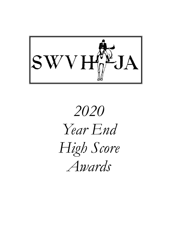

# 2020 Year End High Score Awards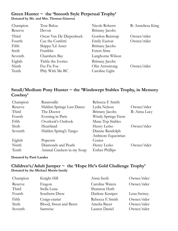## Green Hunter ~ the 'Smooth Style Perpetual Trophy' Donated by Mr. and Mrs. Thomas Ginaven

| Champion | True Balou              | Nicole Roberts         | R: Anneliesa King |
|----------|-------------------------|------------------------|-------------------|
| Reserve  | Devon                   | Brittany Jacobs        |                   |
| Third    | Oscar Van De Diepenbeek | Gordon Reistrup        | Owner/rider       |
| Fourth   | Cue the Confetti        | Emily Easton           | Owner/rider       |
| Fifth    | Skippa 'Lil Asset       | <b>Brittany</b> Jacobs |                   |
| Sixth    | Franklin                | <b>Esters Sims</b>     |                   |
| Seventh  | Chambers Bay            | Langhorne Wilson       |                   |
| Eighth   | Tickle the Ivories      | Brittany Jacobs        |                   |
| Ninth    | Fee Fie Foe             | Olin Armstrong         | Owner/rider       |
| Tenth    | Phly With Me BC         | Caroline Light         |                   |

## Small/Medium Pony Hunter ~ the 'Windswept Stables Trophy, in Memory Cowboy'

| Champion | Ratatouille                | Rebecca F. Smith       |              |
|----------|----------------------------|------------------------|--------------|
| Reserve  | Hidden Springs Last Dance  | Lydia Nelson           | Owner/rider  |
| Third    | The Doctor                 | <b>Brittany</b> Jacobs | R: Anna Lucy |
| Fourth   | Evening in Paris           | Windy Springs Farm     |              |
| Fifth    | Overlook's Outlook         | Mane Top Stables       |              |
| Sixth    | Heartland                  | Henry Lesko            | Owner/rider  |
| Seventh  | Hidden Spring's Tango      | Dianne Randolph        |              |
|          |                            | Ardmore Equestrian     |              |
| Eighth   | Popcorn                    | Center                 |              |
| Ninth    | Diamonds and Pearls        | Henry Lesko            | Owner/rider  |
| Tenth    | Animal Crackers in my Soup | <b>Esther Phillips</b> |              |

#### Donated by Patti Landes

## Children's/Adult Jumper ~ the 'Hope He's Gold Challenge Trophy' Donated by the Michael Morris family

| Champion | Knight Hill            | Anna Szefc       | Owner/rider |
|----------|------------------------|------------------|-------------|
| Reserve  | Eragon                 | Caroline Waters  | Owner/rider |
| Third    | Stella Luna            | Shannon Huth     |             |
| Fourth   | Southern Drew          | Darlene Kemper   | Lena Swiney |
| Fifth    | Craigs-etariat         | Rebecca F. Smith | Owner/rider |
| Sixth    | Blood, Sweat and Beers | Amelia Bayer     | Owner/rider |
| Seventh  | Samwise                | Lauren Daniel    | Owner/rider |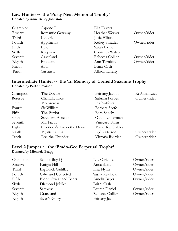## Low Hunter  $\sim$  the 'Purty Neat Memorial Trophy' Donated by Anne Bailey Johnston

| Champion | Capone 7         | Ella Eavers     |             |
|----------|------------------|-----------------|-------------|
| Reserve  | Romantic Getaway | Heather Weaver  | Owner/rider |
| Third    | Ketterle         | Josie Elliott   |             |
| Fourth   | Appalachia       | Kelsey Shrader  | Owner/rider |
| Fifth    | Epic             | Sarah Irvine    |             |
| Sixth    | Keepsake         | Courtney Watson |             |
| Seventh  | Graceland        | Rebecca Collier | Owner/rider |
| Eighth   | Etiquette        | Ann Turnicky    | Owner/rider |
| Ninth    | Alibi            | Britni Cash     |             |
| Tenth    | Cassius I        | Allison Laferty |             |

## Intermediate Hunter ~ the 'In Memory of Crefield Suzanne Trophy' Donated by Parker Pearson

| Champion | The Doctor                | <b>Brittany</b> Jacobs | R: Anna Lucy |
|----------|---------------------------|------------------------|--------------|
| Reserve  | Chantilly Lace            | Sabrina Forbes         | Owner/rider  |
| Third    | <b>Motorcross</b>         | Pia Zuffoletti         |              |
| Fourth   | Sir William               | Barbara Szefc          |              |
| Fifth    | The Patriot               | <b>Beth Sheely</b>     |              |
| Sixth    | Southern Accents          | Caitlin Unterman       |              |
| Seventh  | Mr. Fix-It                | Vineyard Farm          |              |
| Eighth   | Overlook's Lucka the Draw | Mane Top Stables       |              |
| Ninth    | Mystic Talitha            | Lydia Nelson           | Owner/rider  |
| Tenth    | Feel the Thunder          | Victoria Riordan       | Owner/rider  |

## Level 2 Jumper ~ the 'Prado-Gee Perpetual Trophy' Donated by Michaela Bragg

| Champion | School Boy Q           | Lily Caricofe          | Owner/rider |
|----------|------------------------|------------------------|-------------|
| Reserve  | Knight Hill            | Anna Szefc             | Owner/rider |
| Third    | Big Black Cadillac     | Lisa Flynn             | Owner/rider |
| Fourth   | Calm and Collected     | Sasha Reinhold         | Owner/rider |
| Fifth    | Blood, Sweat and Beers | Amelia Bayer           | Owner/rider |
| Sixth    | Diamond Jubilee        | Britni Cash            |             |
| Seventh  | Samwise                | Lauren Daniel          | Owner/rider |
| Eighth   | Graceland              | Rebecca Collier        | Owner/rider |
| Eighth   | Swan's Glory           | <b>Brittany</b> Jacobs |             |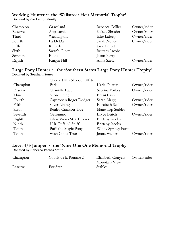## Working Hunter ~ the 'Wallstreet Heir Memorial Trophy' Donated by the Lemon family

| Champion | Graceland    | Rebecca Collier        | Owner/rider |
|----------|--------------|------------------------|-------------|
| Reserve  | Appalachia   | Kelsey Shrader         | Owner/rider |
| Third    | Washington   | Ellie Laferty          | Owner/rider |
| Fourth   | La Di Da     | Sarah Nolley           | Owner/rider |
| Fifth    | Ketterle     | Josie Elliott          |             |
| Sixth    | Swan's Glory | <b>Brittany</b> Jacobs |             |
| Seventh  | Elona        | Jason Berry            |             |
| Eighth   | Knight Hill  | Anna Szefc             | Owner/rider |

## Large Pony Hunter ~ the 'Southern States Large Pony Hunter Trophy' Donated by Southern States

| Cherry Hill's Slipped Off to |                        |             |
|------------------------------|------------------------|-------------|
| Paris                        | Katie Durrer           | Owner/rider |
| Chantilly Lace               | Sabrina Forbes         | Owner/rider |
| Shore Thing                  | Britni Cash            |             |
| Capstone's Roger Dodger      | Sarah Maggi            | Owner/rider |
| Silver Lining                | Elizabeth Self         | Owner/rider |
| Benlea Crimson Tide          | Mane Top Stables       |             |
| Geronimo                     | <b>Bryce Leitch</b>    | Owner/rider |
| Glass Views Star Trekker     | <b>Brittany</b> Jacobs |             |
| H.R. Puff N' Stuff           | <b>Brittany</b> Jacobs |             |
| Puff the Magic Pony          | Windy Springs Farm     |             |
| Wish Come True               | Jenna Walker           | Owner/rider |
|                              |                        |             |

## Level 4/5 Jumper ~ the 'Nine One One Memorial Trophy' Donated by Rebecca Forbes Smith

| Champion | Cobalt de la Pomme Z | Elizabeth Convers Owner/rider |  |
|----------|----------------------|-------------------------------|--|
|          |                      | Mountain View                 |  |
| Reserve  | For Star             | <b>Stables</b>                |  |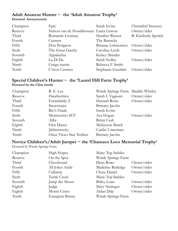#### Adult Amateur Hunter ~ the 'Adult Amateur Trophy' Donated Anonymously

| Champion | Epic                                  | Sarah Irvine       | Christabel Sweeney  |
|----------|---------------------------------------|--------------------|---------------------|
| Reserve  | Nelson van de Hondsbossen Laura Lemon |                    | Owner/rider         |
| Third    | Romantic Getaway                      | Heather Weaver     | R: Kimberly Spetich |
| Fourth   | Carmen                                | The Barracks       |                     |
| Fifth    | Don Perignon                          | Brianne Lefanowicz | Owner/rider         |
| Sixth    | The Great Gatsby                      | Caroline Leeth     | Owner/rider         |
| Seventh  | Appalachia                            | Kelsey Shrader     |                     |
| Eighth   | La Di Da                              | Sarah Nolley       | Owner/rider         |
| Ninth    | Craigs-etariat                        | Rebecca F. Smith   |                     |
| Tenth    | C'mon Carmen                          | Stephanie Guerlain | Owner/rider         |

## Special Children's Hunter ~ the 'Laurel Hill Farm Trophy'

#### Donated by the Cline family

| Champion | R. E. Lee                | Windy Springs Farm Maddie Whitley |             |
|----------|--------------------------|-----------------------------------|-------------|
| Reserve  | Handwritten              | Sarah I. Vagnoni                  | Owner/rider |
| Third    | Formidable Z             | Hannah Rowe                       | Owner/rider |
| Fourth   | Sweetwater               | Brittany Jacobs                   |             |
| Fifth    | Rio's Finale             | Sarah Irvine                      |             |
| Sixth    | Montecristo SCF          | Ava Hogan                         | Owner/rider |
| Seventh  | Alibi                    | Britni Cash                       |             |
| Eighth   | <b>First Dance</b>       | McKenzie Burch                    |             |
| Ninth    | Jabberwocky              | Caitlin Unterman                  |             |
| Tenth    | Glass Views Star Trekker | Brittany Jacobs                   |             |

## Novice Children's/Adult Jumper ~ the 'Chamaco Loco Memorial Trophy'

Donated by Windy Springs Farm

| Champion | <b>High Hopes</b> | Mane Top Stables   |             |
|----------|-------------------|--------------------|-------------|
| Reserve  | On the Spot       | Windy Springs Farm |             |
| Third    | Chessboard        | Dean Rowe          | Owner/rider |
| Fourth   | All Jokes Aside   | Madeline Rutledge  | Owner/rider |
| Fifth    | Callaway          | Chase Daniel       | Owner/rider |
| Sixth    | Turtle Creek      | Mane Top Stables   |             |
| Seventh  | Jump the Moon     | Briley Loan        | Owner/rider |
| Eighth   | Judge             | Mary Nininger      | Owner/rider |
| Eighth   | Monte Cristo      | Aidan Daly         | Owner/rider |
| Tenth    | Energizer Bunny   | Windy Springs Farm |             |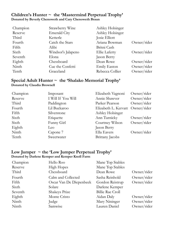## Children's Hunter ~ the 'Mastermind Perpetual Trophy' Donated by Beverly Chenoweth and Cary Chenoweth Braun

| Champion | Strawberry Wine     | Ashley Holsinger |             |
|----------|---------------------|------------------|-------------|
| Reserve  | <b>Emerald City</b> | Ashley Holsinger |             |
| Third    | Ketterle            | Josie Elliott    |             |
| Fourth   | Catch the Stars     | Ariana Bowman    | Owner/rider |
| Fifth    | Alibi               | Britni Cash      |             |
| Sixth    | Windsor's Jalapeno  | Ellie Laferty    | Owner/rider |
| Seventh  | Elona               | Jason Berry      |             |
| Eighth   | Chessboard          | Dean Rowe        | Owner/rider |
| Ninth    | Cue the Confetti    | Emily Easton     | Owner/rider |
| Tenth    | Graceland           | Rebecca Collier  | Owner/rider |

## Special Adult Hunter ~ the 'Shalako Memorial Trophy' Donated by Claudia Brownell

| Imposant           | Elizabeth Vagnoni | Owner/rider                      |
|--------------------|-------------------|----------------------------------|
| I Will If You Will | Annie Shawver     | Owner/rider                      |
| Paddington         | Parker Pearson    | Owner/rider                      |
| Lil Buckaroo       |                   |                                  |
| Silverstone        | Ashley Holsinger  |                                  |
| Etiquette          | Ann Turnicky      | Owner/rider                      |
| Funny Girl         | Courtney Wilson   | Owner/rider                      |
| Leo                | Jason Berry       |                                  |
| Capone 7           | Ella Eavers       | Owner/rider                      |
| Sweetwater         | Brittany Jacobs   |                                  |
|                    |                   | Elizabeth L. Kervatt Owner/rider |

## Low Jumper  $\sim$  the 'Low Jumper Perpetual Trophy' Donated by Darlene Kemper and Kemper Knoll Farm

| Champion | Hello Roo               | Mane Top Stables        |             |
|----------|-------------------------|-------------------------|-------------|
| Reserve  | <b>High Hopes</b>       | Mane Top Stables        |             |
| Third    | Chessboard              | Dean Rowe               | Owner/rider |
| Fourth   | Calm and Collected      | Sasha Reinhold          | Owner/rider |
| Fifth    | Oscar Van De Diepenbeek | Gordon Reistrup         | Owner/rider |
| Sixth    | Solare                  | Darlene Kemper          |             |
| Seventh  | Shakeys Prize           | <b>Billie Rae Croll</b> |             |
| Eighth   | Monte Cristo            | Aidan Daly              | Owner/rider |
| Ninth    | Judge                   | Mary Nininger           | Owner/rider |
| Ninth    | Samwise                 | Lauren Daniel           | Owner/rider |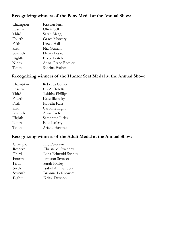## Recognizing winners of the Pony Medal at the Annual Show:

| Champion | Kriston Parr        |
|----------|---------------------|
| Reserve  | Olivia Sell         |
| Third    | Sarah Maggi         |
| Fourth   | <b>Grace Mowery</b> |
| Fifth    | Lizzie Hall         |
| Sixth    | Nia Guinan          |
| Seventh  | Henry Lesko         |
| Eighth   | <b>Bryce Leitch</b> |
| Ninth    | Anna Grace Boteler  |
| Tenth    | Sabrina Forbes      |

## Recognizing winners of the Hunter Seat Medal at the Annual Show:

| Champion | Rebecca Collier  |
|----------|------------------|
| Reserve  | Pia Zuffoletti   |
| Third    | Tabitha Phillips |
| Fourth   | Kate Illemsky    |
| Fifth    | Isabella Karr    |
| Sixth    | Caroline Light   |
| Seventh  | Anna Szefc       |
| Eighth   | Samantha Jurick  |
| Ninth    | Ellie Laferty    |
| Tenth    | Ariana Bowman    |

## Recognizing winners of the Adult Medal at the Annual Show:

| Champion | Lily Peterson        |
|----------|----------------------|
| Reserve  | Christabel Sweeney   |
| Third    | Lena Feingold Swiney |
| Fourth   | Jamison Strasser     |
| Fifth    | Sarah Nolley         |
| Sixth    | Isabel Ammendola     |
| Seventh  | Brianne Lefanowicz   |
| Eighth   | Krissi Dawson        |
|          |                      |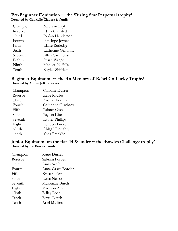## Pre-Beginner Equitation ~ the 'Rising Star Perpetual trophy' Donated by Gabrielle Clauser & family

| Champion | Madison Zipf       |
|----------|--------------------|
| Reserve  | Idella Olmsted     |
| Third    | Jordan Henderson   |
| Fourth   | Penelope Joynes    |
| Fifth    | Claire Rutledge    |
| Sixth    | Catherine Gianinny |
| Seventh  | Ellen Carmichael   |
| Eighth   | Susan Wager        |
| Ninth    | Medora N. Falls    |
| Tenth    | Kaylee Shifflett   |

## Beginner Equitation  $\sim$  the 'In Memory of Rebel Go Lucky Trophy' Donated by Ann & Jeff Shawver

| Champion | Caroline Durrer        |
|----------|------------------------|
| Reserve  | Zelie Rowles           |
| Third    | Analise Eddins         |
| Fourth   | Catherine Gianinny     |
| Fifth    | Palmer Cash            |
| Sixth    | Payton Kite            |
| Seventh  | <b>Esther Phillips</b> |
| Eighth   | London Puckett         |
| Ninth    | Abigail Doughty        |
| Tenth    | Thea Franklin          |

## Junior Equitation on the flat  $14$  & under  $\sim$  the 'Bowles Challenge trophy' Donated by the Bowles family

| Champion | Katie Durrer        |
|----------|---------------------|
| Reserve  | Sabrina Forbes      |
| Third    | Anna Szefc          |
| Fourth   | Anna Grace Boteler  |
| Fifth    | Kriston Parr        |
| Sixth    | Lydia Nelson        |
| Seventh  | McKenzie Burch      |
| Eighth   | Madison Zipf        |
| Ninth    | <b>Briley Loan</b>  |
| Tenth    | <b>Bryce Leitch</b> |
| Tenth    | Ariel Mullins       |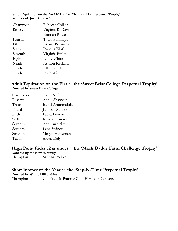#### Junior Equitation on the flat  $15-17 \sim$  the 'Chatham Hall Perpetual Trophy' In honor of 'Just Because'

| Rebecca Collier      |
|----------------------|
| Virginia R. Davis    |
| Hannah Rowe          |
| Tabitha Phillips     |
| Ariana Bowman        |
| Isabella Zipf        |
| Virginia Butler      |
| Libby White          |
| Ashton Kerkam        |
| <b>Ellie Laferty</b> |
| Pia Zuffoletti       |
|                      |

## Adult Equitation on the Flat  $\sim$  the 'Sweet Briar College Perpetual Trophy' Donated by Sweet Briar College

| Champion | Casey Self       |
|----------|------------------|
| Reserve  | Annie Shawver    |
| Third    | Isabel Ammendola |
| Fourth   | Jamison Strasser |
| Fifth    | Laura Lemon      |
| Sixth    | Krystal Dawson   |
| Seventh  | Ann Turnicky     |
| Seventh  | Lena Swiney      |
| Seventh  | Megan Heffernan  |
| Tenth    | Aidan Daly       |

## High Point Rider 12 & under ~ the 'Mack Daddy Farm Challenge Trophy'

Donated by the Bowles family

Champion Sabrina Forbes

#### Show Jumper of the Year  $\sim$  the 'Step-N-Time Perpetual Trophy' Donated by Windy Hill Stables

Champion Cobalt de la Pomme Z Elizabeth Conyers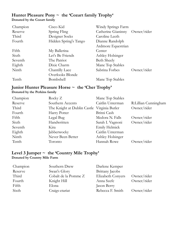## Hunter Pleasure Pony ~ the 'Cozart family Trophy' Donated by the Cozart family

| Champion | Cisco Kid             | Windy Springs Farm             |             |
|----------|-----------------------|--------------------------------|-------------|
| Reserve  | Spring Fling          | Catherine Gianinny Owner/rider |             |
| Third    | Designer Socks        | Caroline Leeth                 |             |
| Fourth   | Hidden Spring's Tango | Dianne Randolph                |             |
|          |                       | Ardmore Equestrian             |             |
| Fifth    | My Ballerina          | Center                         |             |
| Sixth    | Let's Be Friends      | Ashley Holsinger               |             |
| Seventh  | The Patriot           | <b>Beth Sheely</b>             |             |
| Eighth   | Dixie Charm           | Mane Top Stables               |             |
| Ninth    | Chantilly Lace        | Sabrina Forbes                 | Owner/rider |
|          | Overlooks Blonde      |                                |             |
| Tenth    | Bombshell             | Mane Top Stables               |             |

## Junior Hunter Pleasure Horse ~ the 'Cher Trophy' Donated by the Perkins family

| Champion | Rocky $Z$                                   | Mane Top Stables |                      |
|----------|---------------------------------------------|------------------|----------------------|
| Reserve  | Southern Accents                            | Caitlin Unterman | R:Lillian Cunningham |
| Third    | The Knight at Dublin Castle Virginia Butler |                  | Owner/rider          |
| Fourth   | Harry Potter                                | Britni Cash      |                      |
| Fifth    | Legal Bug                                   | Medora N. Falls  | Owner/rider          |
| Sixth    | Handwritten                                 | Sarah I. Vagnoni | Owner/rider          |
| Seventh  | Kira                                        | Emily Helmick    |                      |
| Eighth   | Jabberwocky                                 | Caitlin Unterman |                      |
| Ninth    | Never Been Better                           | Ashley Holsinger |                      |
| Tenth    | Toronto                                     | Hannah Rowe      | Owner/rider          |

#### Level 3 Jumper  $\sim$  the 'Country Mile Trophy' Donated by Country Mile Farm

| Champion | Southern Drew        | Darlene Kemper           |             |
|----------|----------------------|--------------------------|-------------|
| Reserve  | Swan's Glory         | <b>Brittany</b> Jacobs   |             |
| Third    | Cobalt de la Pomme Z | <b>Elizabeth Conyers</b> | Owner/rider |
| Fourth   | Knight Hill          | Anna Szefc               | Owner/rider |
| Fifth    | Elona                | Jason Berry              |             |
| Sixth    | Craigs-etariat       | Rebecca F. Smith         | Owner/rider |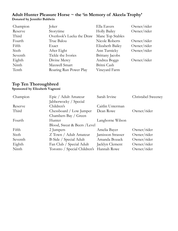## Adult Hunter Pleasure Horse ~ the 'in Memory of Akeela Trophy' Donated by Jennifer Baldwin

| Champion | Joker                     | Ella Eavers            | Owner/rider |
|----------|---------------------------|------------------------|-------------|
| Reserve  | Storytime                 | <b>Holly Bailey</b>    | Owner/rider |
| Third    | Overlook's Lucka the Draw | Mane Top Stables       |             |
| Fourth   | True Balou                | Nicole Roberts         | Owner/rider |
| Fifth    | Exact                     | Elizabeth Bailey       | Owner/rider |
| Sixth    | After Eight               | Ann Turnicky           | Owner/rider |
| Seventh  | Tickle the Ivories        | <b>Brittany</b> Jacobs |             |
| Eighth   | Divine Mercy              | Andrea Boggs           | Owner/rider |
| Ninth    | Maxwell Smart             | Britni Cash            |             |
| Tenth    | Roaring Run Power Play    | Vineyard Farm          |             |

## Top Ten Thoroughbred

## Sponsored by Elizabeth Vagnoni

| Champion | Epic / Adult Amateur                     | Sarah Irvine      | Christabel Sweeney |
|----------|------------------------------------------|-------------------|--------------------|
|          | Jabberwocky / Special                    |                   |                    |
| Reserve  | Children's                               | Caitlin Unterman  |                    |
| Third    | Chessboard / Low Jumper                  | Dean Rowe         | Owner/rider        |
|          | Chambers Bay / Green                     |                   |                    |
| Fourth   | Hunter                                   | Langhorne Wilson  |                    |
|          | Blood, Sweat & Beers /Level              |                   |                    |
| Fifth    | 2 Jumpers                                | Amelia Bayer      | Owner/rider        |
| Sixth    | Z Town / Adult Amateur                   | Jamisson Strasser | Owner/rider        |
| Seventh  | B-Side / Special Adult                   | Amanda Bozack     | Owner/rider        |
| Eighth   | Fan Club / Special Adult                 | Jacklyn Clement   | Owner/rider        |
| Ninth    | Toronto / Special Children's Hannah Rowe |                   | Owner/rider        |